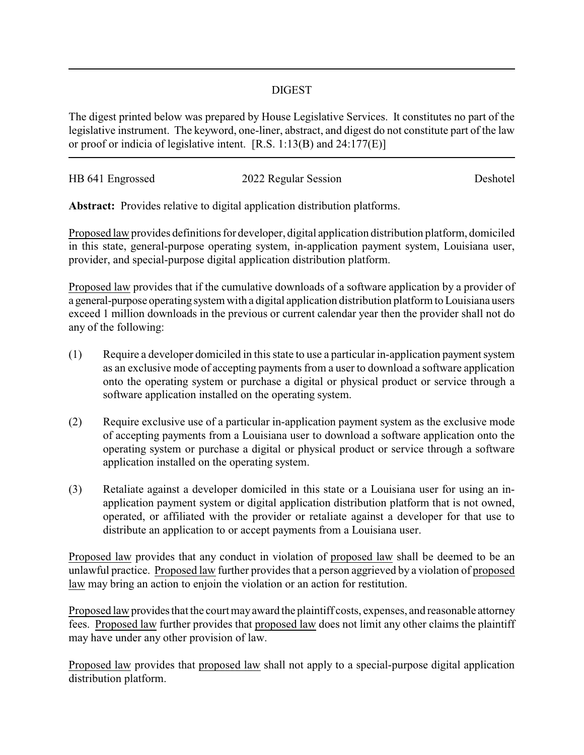## DIGEST

The digest printed below was prepared by House Legislative Services. It constitutes no part of the legislative instrument. The keyword, one-liner, abstract, and digest do not constitute part of the law or proof or indicia of legislative intent. [R.S. 1:13(B) and 24:177(E)]

| HB 641 Engrossed | 2022 Regular Session | Deshotel |
|------------------|----------------------|----------|
|                  |                      |          |

**Abstract:** Provides relative to digital application distribution platforms.

Proposed law provides definitions for developer, digital application distribution platform, domiciled in this state, general-purpose operating system, in-application payment system, Louisiana user, provider, and special-purpose digital application distribution platform.

Proposed law provides that if the cumulative downloads of a software application by a provider of a general-purpose operating system with a digital application distribution platform to Louisiana users exceed 1 million downloads in the previous or current calendar year then the provider shall not do any of the following:

- (1) Require a developer domiciled in this state to use a particular in-application payment system as an exclusive mode of accepting payments from a user to download a software application onto the operating system or purchase a digital or physical product or service through a software application installed on the operating system.
- (2) Require exclusive use of a particular in-application payment system as the exclusive mode of accepting payments from a Louisiana user to download a software application onto the operating system or purchase a digital or physical product or service through a software application installed on the operating system.
- (3) Retaliate against a developer domiciled in this state or a Louisiana user for using an inapplication payment system or digital application distribution platform that is not owned, operated, or affiliated with the provider or retaliate against a developer for that use to distribute an application to or accept payments from a Louisiana user.

Proposed law provides that any conduct in violation of proposed law shall be deemed to be an unlawful practice. Proposed law further provides that a person aggrieved by a violation of proposed law may bring an action to enjoin the violation or an action for restitution.

Proposed law provides that the court may award the plaintiff costs, expenses, and reasonable attorney fees. Proposed law further provides that proposed law does not limit any other claims the plaintiff may have under any other provision of law.

Proposed law provides that proposed law shall not apply to a special-purpose digital application distribution platform.